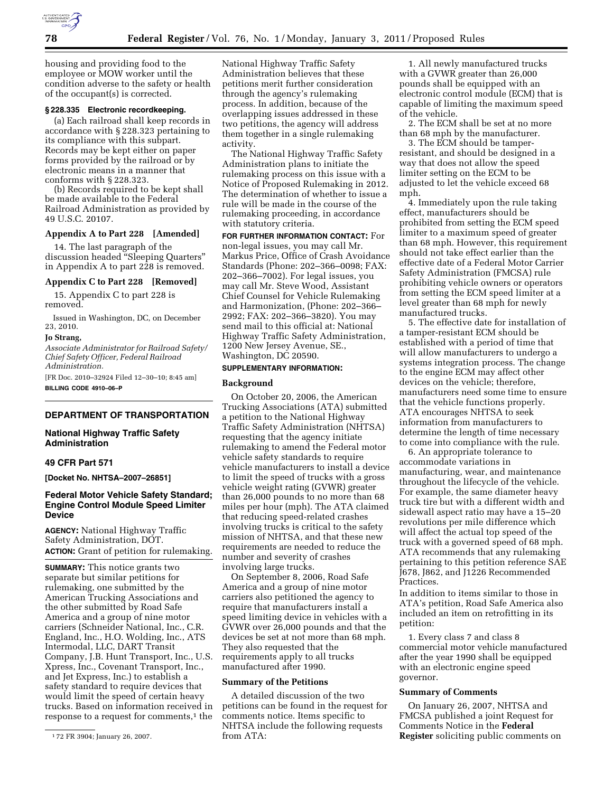

housing and providing food to the employee or MOW worker until the condition adverse to the safety or health of the occupant(s) is corrected.

### **§ 228.335 Electronic recordkeeping.**

(a) Each railroad shall keep records in accordance with § 228.323 pertaining to its compliance with this subpart. Records may be kept either on paper forms provided by the railroad or by electronic means in a manner that conforms with § 228.323.

(b) Records required to be kept shall be made available to the Federal Railroad Administration as provided by 49 U.S.C. 20107.

## **Appendix A to Part 228 [Amended]**

14. The last paragraph of the discussion headed ''Sleeping Quarters'' in Appendix A to part 228 is removed.

## **Appendix C to Part 228 [Removed]**

15. Appendix C to part 228 is removed.

Issued in Washington, DC, on December 23, 2010.

### **Jo Strang,**

*Associate Administrator for Railroad Safety/ Chief Safety Officer, Federal Railroad Administration.* 

[FR Doc. 2010–32924 Filed 12–30–10; 8:45 am] **BILLING CODE 4910–06–P** 

### **DEPARTMENT OF TRANSPORTATION**

# **National Highway Traffic Safety Administration**

# **49 CFR Part 571**

**[Docket No. NHTSA–2007–26851]** 

# **Federal Motor Vehicle Safety Standard; Engine Control Module Speed Limiter Device**

**AGENCY:** National Highway Traffic Safety Administration, DOT. **ACTION:** Grant of petition for rulemaking.

**SUMMARY:** This notice grants two separate but similar petitions for rulemaking, one submitted by the American Trucking Associations and the other submitted by Road Safe America and a group of nine motor carriers (Schneider National, Inc., C.R. England, Inc., H.O. Wolding, Inc., ATS Intermodal, LLC, DART Transit Company, J.B. Hunt Transport, Inc., U.S. Xpress, Inc., Covenant Transport, Inc., and Jet Express, Inc.) to establish a safety standard to require devices that would limit the speed of certain heavy trucks. Based on information received in response to a request for comments,<sup>1</sup> the National Highway Traffic Safety Administration believes that these petitions merit further consideration through the agency's rulemaking process. In addition, because of the overlapping issues addressed in these two petitions, the agency will address them together in a single rulemaking activity.

The National Highway Traffic Safety Administration plans to initiate the rulemaking process on this issue with a Notice of Proposed Rulemaking in 2012. The determination of whether to issue a rule will be made in the course of the rulemaking proceeding, in accordance with statutory criteria.

**FOR FURTHER INFORMATION CONTACT:** For non-legal issues, you may call Mr. Markus Price, Office of Crash Avoidance Standards (Phone: 202–366–0098; FAX: 202–366–7002). For legal issues, you may call Mr. Steve Wood, Assistant Chief Counsel for Vehicle Rulemaking and Harmonization, (Phone: 202–366– 2992; FAX: 202–366–3820). You may send mail to this official at: National Highway Traffic Safety Administration, 1200 New Jersey Avenue, SE., Washington, DC 20590.

# **SUPPLEMENTARY INFORMATION:**

### **Background**

On October 20, 2006, the American Trucking Associations (ATA) submitted a petition to the National Highway Traffic Safety Administration (NHTSA) requesting that the agency initiate rulemaking to amend the Federal motor vehicle safety standards to require vehicle manufacturers to install a device to limit the speed of trucks with a gross vehicle weight rating (GVWR) greater than 26,000 pounds to no more than 68 miles per hour (mph). The ATA claimed that reducing speed-related crashes involving trucks is critical to the safety mission of NHTSA, and that these new requirements are needed to reduce the number and severity of crashes involving large trucks.

On September 8, 2006, Road Safe America and a group of nine motor carriers also petitioned the agency to require that manufacturers install a speed limiting device in vehicles with a GVWR over 26,000 pounds and that the devices be set at not more than 68 mph. They also requested that the requirements apply to all trucks manufactured after 1990.

# **Summary of the Petitions**

A detailed discussion of the two petitions can be found in the request for comments notice. Items specific to NHTSA include the following requests from ATA:

1. All newly manufactured trucks with a GVWR greater than 26,000 pounds shall be equipped with an electronic control module (ECM) that is capable of limiting the maximum speed of the vehicle.

2. The ECM shall be set at no more than 68 mph by the manufacturer.

3. The ECM should be tamperresistant, and should be designed in a way that does not allow the speed limiter setting on the ECM to be adjusted to let the vehicle exceed 68 mph.

4. Immediately upon the rule taking effect, manufacturers should be prohibited from setting the ECM speed limiter to a maximum speed of greater than 68 mph. However, this requirement should not take effect earlier than the effective date of a Federal Motor Carrier Safety Administration (FMCSA) rule prohibiting vehicle owners or operators from setting the ECM speed limiter at a level greater than 68 mph for newly manufactured trucks.

5. The effective date for installation of a tamper-resistant ECM should be established with a period of time that will allow manufacturers to undergo a systems integration process. The change to the engine ECM may affect other devices on the vehicle; therefore, manufacturers need some time to ensure that the vehicle functions properly. ATA encourages NHTSA to seek information from manufacturers to determine the length of time necessary to come into compliance with the rule.

6. An appropriate tolerance to accommodate variations in manufacturing, wear, and maintenance throughout the lifecycle of the vehicle. For example, the same diameter heavy truck tire but with a different width and sidewall aspect ratio may have a 15–20 revolutions per mile difference which will affect the actual top speed of the truck with a governed speed of 68 mph. ATA recommends that any rulemaking pertaining to this petition reference SAE J678, J862, and J1226 Recommended Practices.

In addition to items similar to those in ATA's petition, Road Safe America also included an item on retrofitting in its petition:

1. Every class 7 and class 8 commercial motor vehicle manufactured after the year 1990 shall be equipped with an electronic engine speed governor.

#### **Summary of Comments**

On January 26, 2007, NHTSA and FMCSA published a joint Request for Comments Notice in the **Federal Register** soliciting public comments on

<sup>1</sup> 72 FR 3904; January 26, 2007.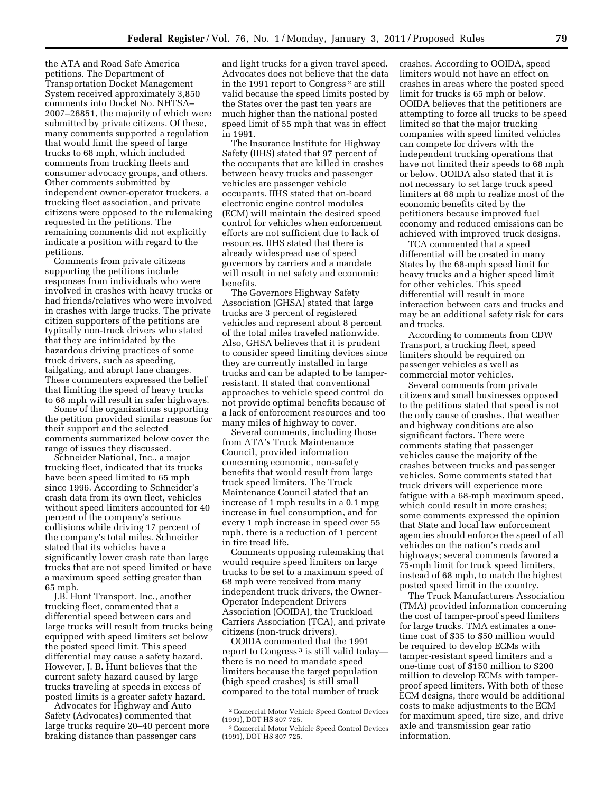the ATA and Road Safe America petitions. The Department of Transportation Docket Management System received approximately 3,850 comments into Docket No. NHTSA– 2007–26851, the majority of which were submitted by private citizens. Of these, many comments supported a regulation that would limit the speed of large trucks to 68 mph, which included comments from trucking fleets and consumer advocacy groups, and others. Other comments submitted by independent owner-operator truckers, a trucking fleet association, and private citizens were opposed to the rulemaking requested in the petitions. The remaining comments did not explicitly indicate a position with regard to the petitions.

Comments from private citizens supporting the petitions include responses from individuals who were involved in crashes with heavy trucks or had friends/relatives who were involved in crashes with large trucks. The private citizen supporters of the petitions are typically non-truck drivers who stated that they are intimidated by the hazardous driving practices of some truck drivers, such as speeding, tailgating, and abrupt lane changes. These commenters expressed the belief that limiting the speed of heavy trucks to 68 mph will result in safer highways.

Some of the organizations supporting the petition provided similar reasons for their support and the selected comments summarized below cover the range of issues they discussed.

Schneider National, Inc., a major trucking fleet, indicated that its trucks have been speed limited to 65 mph since 1996. According to Schneider's crash data from its own fleet, vehicles without speed limiters accounted for 40 percent of the company's serious collisions while driving 17 percent of the company's total miles. Schneider stated that its vehicles have a significantly lower crash rate than large trucks that are not speed limited or have a maximum speed setting greater than 65 mph.

J.B. Hunt Transport, Inc., another trucking fleet, commented that a differential speed between cars and large trucks will result from trucks being equipped with speed limiters set below the posted speed limit. This speed differential may cause a safety hazard. However, J. B. Hunt believes that the current safety hazard caused by large trucks traveling at speeds in excess of posted limits is a greater safety hazard.

Advocates for Highway and Auto Safety (Advocates) commented that large trucks require 20–40 percent more braking distance than passenger cars

and light trucks for a given travel speed. Advocates does not believe that the data in the 1991 report to Congress 2 are still valid because the speed limits posted by the States over the past ten years are much higher than the national posted speed limit of 55 mph that was in effect in 1991.

The Insurance Institute for Highway Safety (IIHS) stated that 97 percent of the occupants that are killed in crashes between heavy trucks and passenger vehicles are passenger vehicle occupants. IIHS stated that on-board electronic engine control modules (ECM) will maintain the desired speed control for vehicles when enforcement efforts are not sufficient due to lack of resources. IIHS stated that there is already widespread use of speed governors by carriers and a mandate will result in net safety and economic benefits.

The Governors Highway Safety Association (GHSA) stated that large trucks are 3 percent of registered vehicles and represent about 8 percent of the total miles traveled nationwide. Also, GHSA believes that it is prudent to consider speed limiting devices since they are currently installed in large trucks and can be adapted to be tamperresistant. It stated that conventional approaches to vehicle speed control do not provide optimal benefits because of a lack of enforcement resources and too many miles of highway to cover.

Several comments, including those from ATA's Truck Maintenance Council, provided information concerning economic, non-safety benefits that would result from large truck speed limiters. The Truck Maintenance Council stated that an increase of 1 mph results in a 0.1 mpg increase in fuel consumption, and for every 1 mph increase in speed over 55 mph, there is a reduction of 1 percent in tire tread life.

Comments opposing rulemaking that would require speed limiters on large trucks to be set to a maximum speed of 68 mph were received from many independent truck drivers, the Owner-Operator Independent Drivers Association (OOIDA), the Truckload Carriers Association (TCA), and private citizens (non-truck drivers).

OOIDA commented that the 1991 report to Congress<sup>3</sup> is still valid today there is no need to mandate speed limiters because the target population (high speed crashes) is still small compared to the total number of truck

crashes. According to OOIDA, speed limiters would not have an effect on crashes in areas where the posted speed limit for trucks is 65 mph or below. OOIDA believes that the petitioners are attempting to force all trucks to be speed limited so that the major trucking companies with speed limited vehicles can compete for drivers with the independent trucking operations that have not limited their speeds to 68 mph or below. OOIDA also stated that it is not necessary to set large truck speed limiters at 68 mph to realize most of the economic benefits cited by the petitioners because improved fuel economy and reduced emissions can be achieved with improved truck designs.

TCA commented that a speed differential will be created in many States by the 68-mph speed limit for heavy trucks and a higher speed limit for other vehicles. This speed differential will result in more interaction between cars and trucks and may be an additional safety risk for cars and trucks.

According to comments from CDW Transport, a trucking fleet, speed limiters should be required on passenger vehicles as well as commercial motor vehicles.

Several comments from private citizens and small businesses opposed to the petitions stated that speed is not the only cause of crashes, that weather and highway conditions are also significant factors. There were comments stating that passenger vehicles cause the majority of the crashes between trucks and passenger vehicles. Some comments stated that truck drivers will experience more fatigue with a 68-mph maximum speed, which could result in more crashes; some comments expressed the opinion that State and local law enforcement agencies should enforce the speed of all vehicles on the nation's roads and highways; several comments favored a 75-mph limit for truck speed limiters, instead of 68 mph, to match the highest posted speed limit in the country.

The Truck Manufacturers Association (TMA) provided information concerning the cost of tamper-proof speed limiters for large trucks. TMA estimates a onetime cost of \$35 to \$50 million would be required to develop ECMs with tamper-resistant speed limiters and a one-time cost of \$150 million to \$200 million to develop ECMs with tamperproof speed limiters. With both of these ECM designs, there would be additional costs to make adjustments to the ECM for maximum speed, tire size, and drive axle and transmission gear ratio information.

<sup>2</sup>Comercial Motor Vehicle Speed Control Devices (1991), DOT HS 807 725.

<sup>3</sup>Comercial Motor Vehicle Speed Control Devices (1991), DOT HS 807 725.